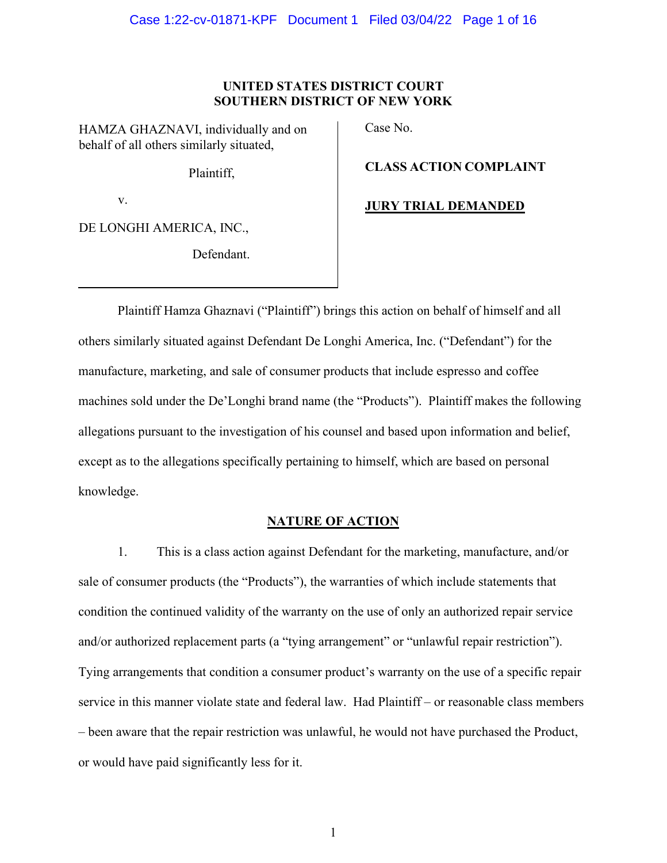### **UNITED STATES DISTRICT COURT SOUTHERN DISTRICT OF NEW YORK**

HAMZA GHAZNAVI, individually and on behalf of all others similarly situated,

Plaintiff,

v.

DE LONGHI AMERICA, INC.,

Defendant.

Case No.

**CLASS ACTION COMPLAINT**

**JURY TRIAL DEMANDED**

Plaintiff Hamza Ghaznavi ("Plaintiff") brings this action on behalf of himself and all others similarly situated against Defendant De Longhi America, Inc. ("Defendant") for the manufacture, marketing, and sale of consumer products that include espresso and coffee machines sold under the De'Longhi brand name (the "Products"). Plaintiff makes the following allegations pursuant to the investigation of his counsel and based upon information and belief, except as to the allegations specifically pertaining to himself, which are based on personal knowledge.

# **NATURE OF ACTION**

1. This is a class action against Defendant for the marketing, manufacture, and/or sale of consumer products (the "Products"), the warranties of which include statements that condition the continued validity of the warranty on the use of only an authorized repair service and/or authorized replacement parts (a "tying arrangement" or "unlawful repair restriction"). Tying arrangements that condition a consumer product's warranty on the use of a specific repair service in this manner violate state and federal law. Had Plaintiff – or reasonable class members – been aware that the repair restriction was unlawful, he would not have purchased the Product, or would have paid significantly less for it.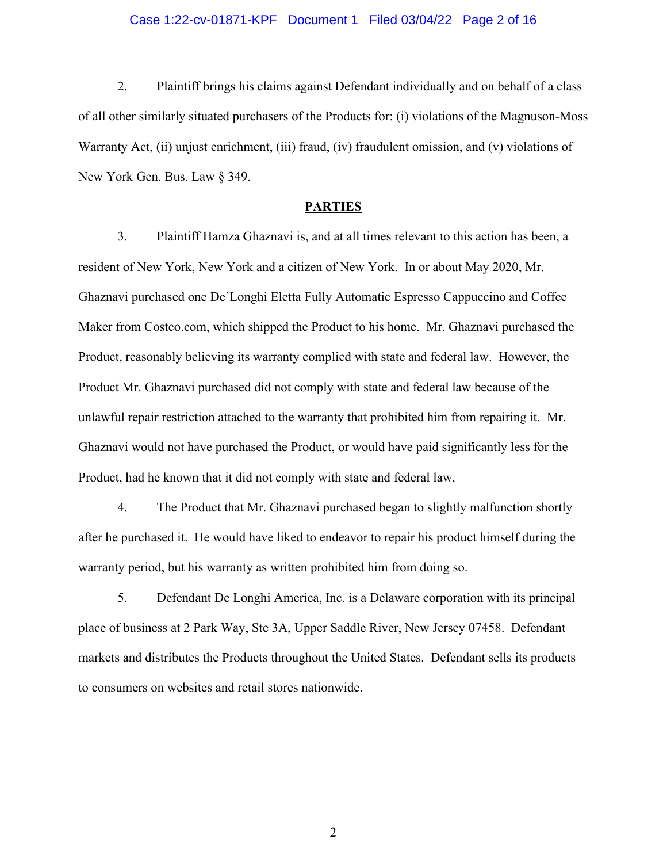### Case 1:22-cv-01871-KPF Document 1 Filed 03/04/22 Page 2 of 16

2. Plaintiff brings his claims against Defendant individually and on behalf of a class of all other similarly situated purchasers of the Products for: (i) violations of the Magnuson-Moss Warranty Act, (ii) unjust enrichment, (iii) fraud, (iv) fraudulent omission, and (v) violations of New York Gen. Bus. Law § 349.

#### **PARTIES**

3. Plaintiff Hamza Ghaznavi is, and at all times relevant to this action has been, a resident of New York, New York and a citizen of New York. In or about May 2020, Mr. Ghaznavi purchased one De'Longhi Eletta Fully Automatic Espresso Cappuccino and Coffee Maker from Costco.com, which shipped the Product to his home. Mr. Ghaznavi purchased the Product, reasonably believing its warranty complied with state and federal law. However, the Product Mr. Ghaznavi purchased did not comply with state and federal law because of the unlawful repair restriction attached to the warranty that prohibited him from repairing it. Mr. Ghaznavi would not have purchased the Product, or would have paid significantly less for the Product, had he known that it did not comply with state and federal law.

4. The Product that Mr. Ghaznavi purchased began to slightly malfunction shortly after he purchased it. He would have liked to endeavor to repair his product himself during the warranty period, but his warranty as written prohibited him from doing so.

5. Defendant De Longhi America, Inc. is a Delaware corporation with its principal place of business at 2 Park Way, Ste 3A, Upper Saddle River, New Jersey 07458. Defendant markets and distributes the Products throughout the United States. Defendant sells its products to consumers on websites and retail stores nationwide.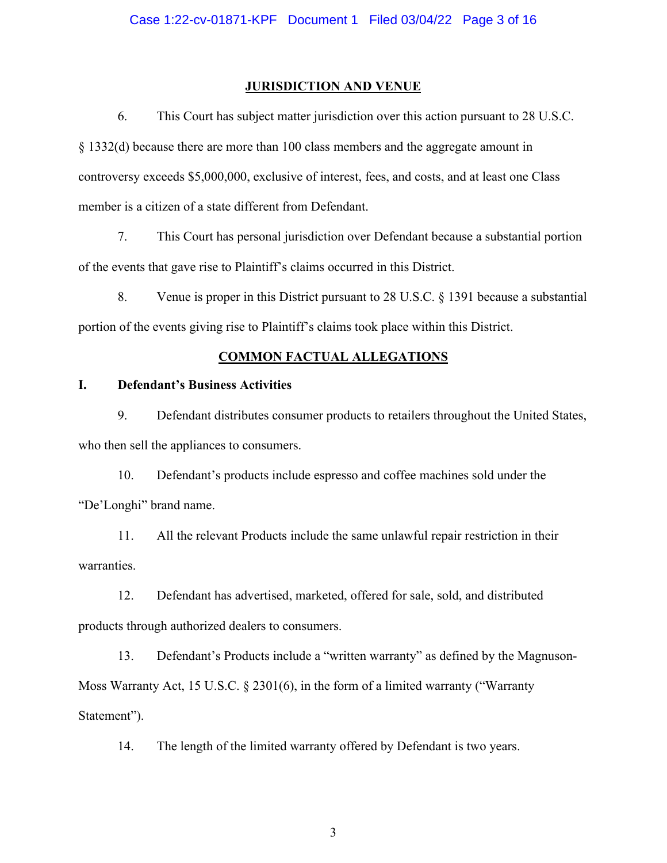### **JURISDICTION AND VENUE**

6. This Court has subject matter jurisdiction over this action pursuant to 28 U.S.C. § 1332(d) because there are more than 100 class members and the aggregate amount in controversy exceeds \$5,000,000, exclusive of interest, fees, and costs, and at least one Class member is a citizen of a state different from Defendant.

7. This Court has personal jurisdiction over Defendant because a substantial portion of the events that gave rise to Plaintiff's claims occurred in this District.

8. Venue is proper in this District pursuant to 28 U.S.C. § 1391 because a substantial portion of the events giving rise to Plaintiff's claims took place within this District.

### **COMMON FACTUAL ALLEGATIONS**

## **I. Defendant's Business Activities**

9. Defendant distributes consumer products to retailers throughout the United States, who then sell the appliances to consumers.

10. Defendant's products include espresso and coffee machines sold under the "De'Longhi" brand name.

11. All the relevant Products include the same unlawful repair restriction in their warranties.

12. Defendant has advertised, marketed, offered for sale, sold, and distributed products through authorized dealers to consumers.

13. Defendant's Products include a "written warranty" as defined by the Magnuson-Moss Warranty Act, 15 U.S.C. § 2301(6), in the form of a limited warranty ("Warranty Statement").

14. The length of the limited warranty offered by Defendant is two years.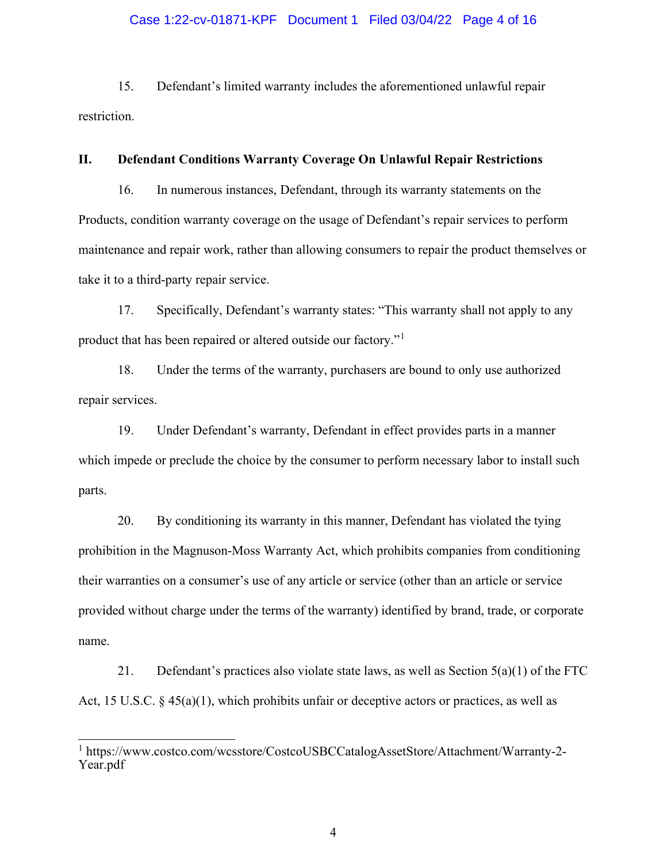### Case 1:22-cv-01871-KPF Document 1 Filed 03/04/22 Page 4 of 16

15. Defendant's limited warranty includes the aforementioned unlawful repair restriction.

### **II. Defendant Conditions Warranty Coverage On Unlawful Repair Restrictions**

16. In numerous instances, Defendant, through its warranty statements on the Products, condition warranty coverage on the usage of Defendant's repair services to perform maintenance and repair work, rather than allowing consumers to repair the product themselves or take it to a third-party repair service.

17. Specifically, Defendant's warranty states: "This warranty shall not apply to any product that has been repaired or altered outside our factory."[1](#page-3-0)

18. Under the terms of the warranty, purchasers are bound to only use authorized repair services.

19. Under Defendant's warranty, Defendant in effect provides parts in a manner which impede or preclude the choice by the consumer to perform necessary labor to install such parts.

20. By conditioning its warranty in this manner, Defendant has violated the tying prohibition in the Magnuson-Moss Warranty Act, which prohibits companies from conditioning their warranties on a consumer's use of any article or service (other than an article or service provided without charge under the terms of the warranty) identified by brand, trade, or corporate name.

21. Defendant's practices also violate state laws, as well as Section  $5(a)(1)$  of the FTC Act, 15 U.S.C. § 45(a)(1), which prohibits unfair or deceptive actors or practices, as well as

<span id="page-3-0"></span><sup>1</sup> https://www.costco.com/wcsstore/CostcoUSBCCatalogAssetStore/Attachment/Warranty-2- Year.pdf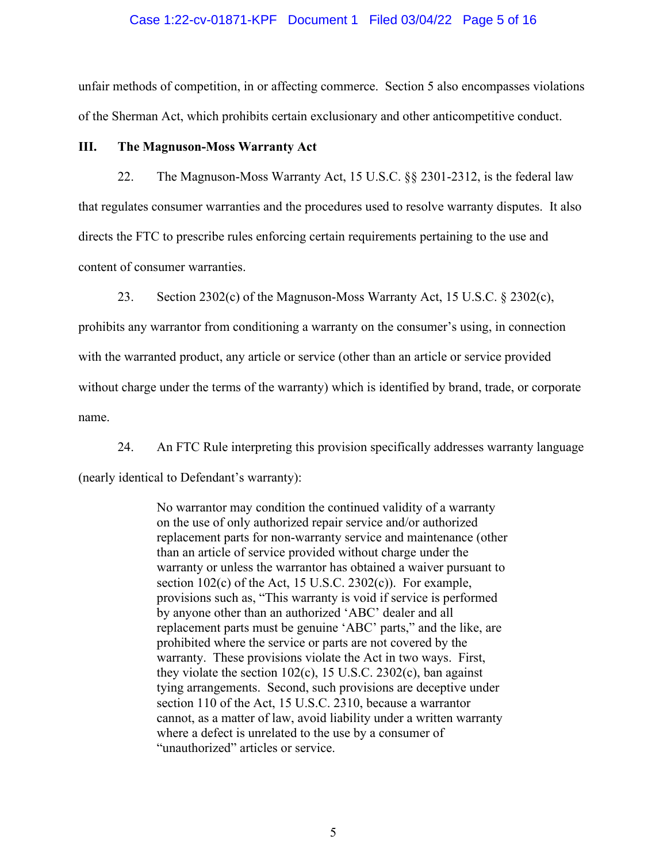#### Case 1:22-cv-01871-KPF Document 1 Filed 03/04/22 Page 5 of 16

unfair methods of competition, in or affecting commerce. Section 5 also encompasses violations of the Sherman Act, which prohibits certain exclusionary and other anticompetitive conduct.

### **III. The Magnuson-Moss Warranty Act**

22. The Magnuson-Moss Warranty Act, 15 U.S.C. §§ 2301-2312, is the federal law that regulates consumer warranties and the procedures used to resolve warranty disputes. It also directs the FTC to prescribe rules enforcing certain requirements pertaining to the use and content of consumer warranties.

23. Section 2302(c) of the Magnuson-Moss Warranty Act, 15 U.S.C. § 2302(c),

prohibits any warrantor from conditioning a warranty on the consumer's using, in connection with the warranted product, any article or service (other than an article or service provided without charge under the terms of the warranty) which is identified by brand, trade, or corporate name.

24. An FTC Rule interpreting this provision specifically addresses warranty language (nearly identical to Defendant's warranty):

> No warrantor may condition the continued validity of a warranty on the use of only authorized repair service and/or authorized replacement parts for non-warranty service and maintenance (other than an article of service provided without charge under the warranty or unless the warrantor has obtained a waiver pursuant to section 102(c) of the Act, 15 U.S.C. 2302(c)). For example, provisions such as, "This warranty is void if service is performed by anyone other than an authorized 'ABC' dealer and all replacement parts must be genuine 'ABC' parts," and the like, are prohibited where the service or parts are not covered by the warranty. These provisions violate the Act in two ways. First, they violate the section 102(c), 15 U.S.C. 2302(c), ban against tying arrangements. Second, such provisions are deceptive under section 110 of the Act, 15 U.S.C. 2310, because a warrantor cannot, as a matter of law, avoid liability under a written warranty where a defect is unrelated to the use by a consumer of "unauthorized" articles or service.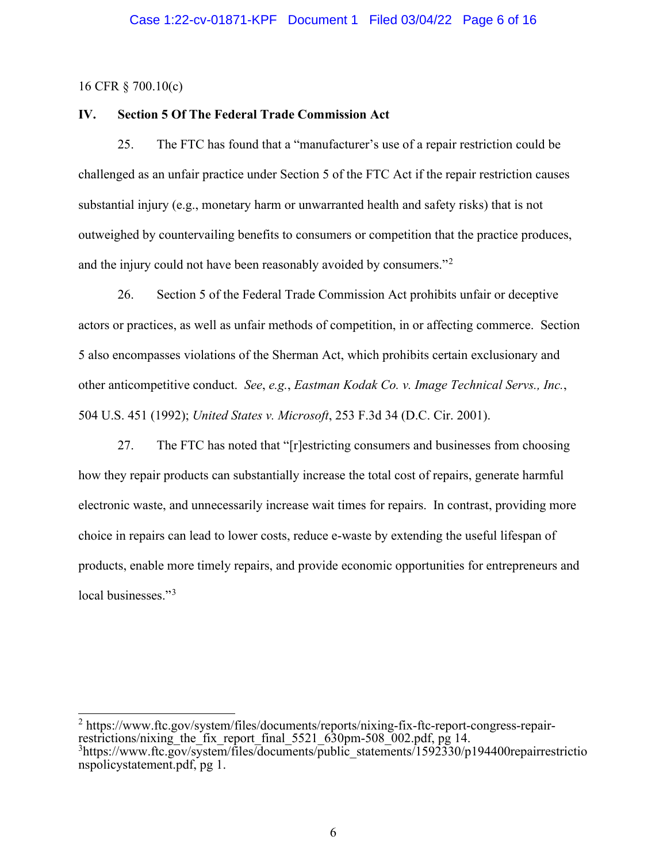16 CFR § 700.10(c)

# **IV. Section 5 Of The Federal Trade Commission Act**

25. The FTC has found that a "manufacturer's use of a repair restriction could be challenged as an unfair practice under Section 5 of the FTC Act if the repair restriction causes substantial injury (e.g., monetary harm or unwarranted health and safety risks) that is not outweighed by countervailing benefits to consumers or competition that the practice produces, and the injury could not have been reasonably avoided by consumers."<sup>[2](#page-5-0)</sup>

26. Section 5 of the Federal Trade Commission Act prohibits unfair or deceptive actors or practices, as well as unfair methods of competition, in or affecting commerce. Section 5 also encompasses violations of the Sherman Act, which prohibits certain exclusionary and other anticompetitive conduct. *See*, *e.g.*, *Eastman Kodak Co. v. Image Technical Servs., Inc.*, 504 U.S. 451 (1992); *United States v. Microsoft*, 253 F.3d 34 (D.C. Cir. 2001).

27. The FTC has noted that "[r]estricting consumers and businesses from choosing how they repair products can substantially increase the total cost of repairs, generate harmful electronic waste, and unnecessarily increase wait times for repairs. In contrast, providing more choice in repairs can lead to lower costs, reduce e-waste by extending the useful lifespan of products, enable more timely repairs, and provide economic opportunities for entrepreneurs and local businesses."<sup>[3](#page-5-1)</sup>

<span id="page-5-1"></span><span id="page-5-0"></span><sup>2</sup> https://www.ftc.gov/system/files/documents/reports/nixing-fix-ftc-report-congress-repairrestrictions/nixing the fix report final  $5521\overline{630}$ pm-508 $\overline{002}$ .pdf, pg 14. <sup>3</sup>https://www.ftc.gov/system/files/documents/public\_statements/1592330/p194400repairrestrictio nspolicystatement.pdf, pg 1.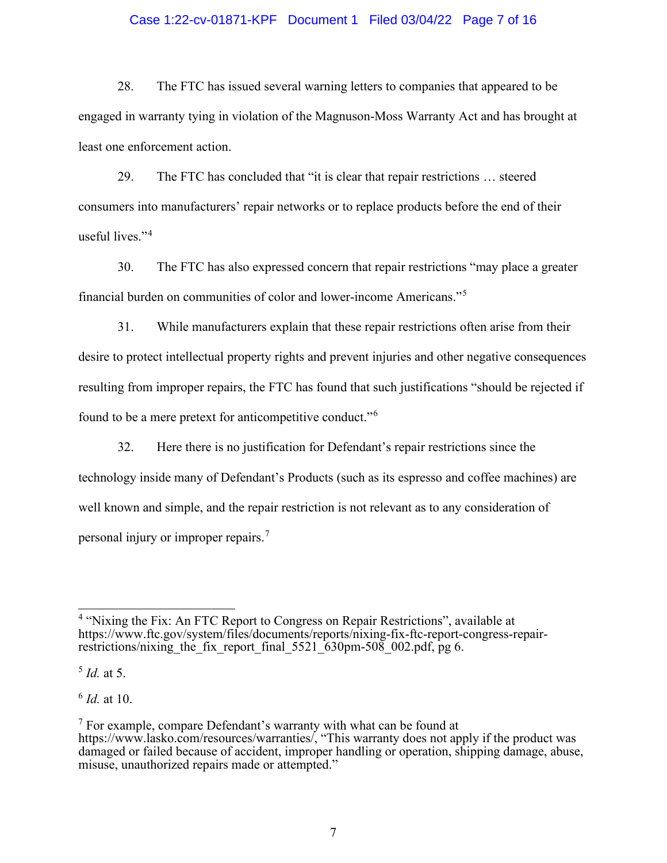### Case 1:22-cv-01871-KPF Document 1 Filed 03/04/22 Page 7 of 16

28. The FTC has issued several warning letters to companies that appeared to be engaged in warranty tying in violation of the Magnuson-Moss Warranty Act and has brought at least one enforcement action.

29. The FTC has concluded that "it is clear that repair restrictions … steered consumers into manufacturers' repair networks or to replace products before the end of their useful lives."[4](#page-6-0)

30. The FTC has also expressed concern that repair restrictions "may place a greater financial burden on communities of color and lower-income Americans."[5](#page-6-1)

31. While manufacturers explain that these repair restrictions often arise from their desire to protect intellectual property rights and prevent injuries and other negative consequences resulting from improper repairs, the FTC has found that such justifications "should be rejected if found to be a mere pretext for anticompetitive conduct."[6](#page-6-2)

32. Here there is no justification for Defendant's repair restrictions since the technology inside many of Defendant's Products (such as its espresso and coffee machines) are well known and simple, and the repair restriction is not relevant as to any consideration of personal injury or improper repairs.[7](#page-6-3)

<span id="page-6-1"></span>5 *Id.* at 5.

<span id="page-6-2"></span>6 *Id.* at 10.

<span id="page-6-0"></span><sup>&</sup>lt;sup>4</sup> "Nixing the Fix: An FTC Report to Congress on Repair Restrictions", available at https://www.ftc.gov/system/files/documents/reports/nixing-fix-ftc-report-congress-repairrestrictions/nixing the fix report final  $5521\overline{630}$ pm-508 002.pdf, pg 6.

<span id="page-6-3"></span> $<sup>7</sup>$  For example, compare Defendant's warranty with what can be found at</sup> https://www.lasko.com/resources/warranties/, "This warranty does not apply if the product was damaged or failed because of accident, improper handling or operation, shipping damage, abuse, misuse, unauthorized repairs made or attempted."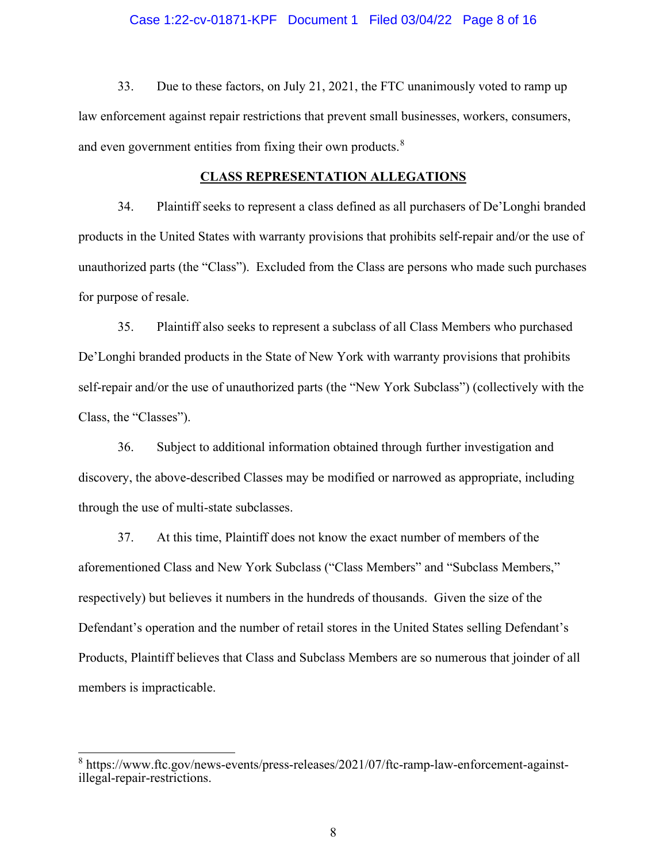### Case 1:22-cv-01871-KPF Document 1 Filed 03/04/22 Page 8 of 16

33. Due to these factors, on July 21, 2021, the FTC unanimously voted to ramp up law enforcement against repair restrictions that prevent small businesses, workers, consumers, and even government entities from fixing their own products.<sup>[8](#page-7-0)</sup>

### **CLASS REPRESENTATION ALLEGATIONS**

34. Plaintiff seeks to represent a class defined as all purchasers of De'Longhi branded products in the United States with warranty provisions that prohibits self-repair and/or the use of unauthorized parts (the "Class"). Excluded from the Class are persons who made such purchases for purpose of resale.

35. Plaintiff also seeks to represent a subclass of all Class Members who purchased De'Longhi branded products in the State of New York with warranty provisions that prohibits self-repair and/or the use of unauthorized parts (the "New York Subclass") (collectively with the Class, the "Classes").

36. Subject to additional information obtained through further investigation and discovery, the above-described Classes may be modified or narrowed as appropriate, including through the use of multi-state subclasses.

37. At this time, Plaintiff does not know the exact number of members of the aforementioned Class and New York Subclass ("Class Members" and "Subclass Members," respectively) but believes it numbers in the hundreds of thousands. Given the size of the Defendant's operation and the number of retail stores in the United States selling Defendant's Products, Plaintiff believes that Class and Subclass Members are so numerous that joinder of all members is impracticable.

<span id="page-7-0"></span><sup>&</sup>lt;sup>8</sup> https://www.ftc.gov/news-events/press-releases/2021/07/ftc-ramp-law-enforcement-againstillegal-repair-restrictions.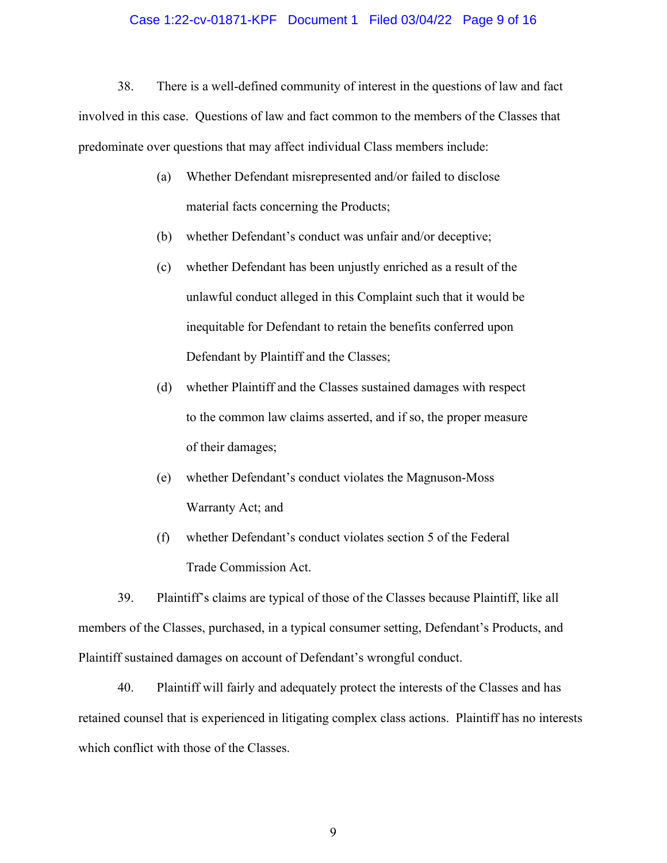#### Case 1:22-cv-01871-KPF Document 1 Filed 03/04/22 Page 9 of 16

38. There is a well-defined community of interest in the questions of law and fact involved in this case. Questions of law and fact common to the members of the Classes that predominate over questions that may affect individual Class members include:

- (a) Whether Defendant misrepresented and/or failed to disclose material facts concerning the Products;
- (b) whether Defendant's conduct was unfair and/or deceptive;
- (c) whether Defendant has been unjustly enriched as a result of the unlawful conduct alleged in this Complaint such that it would be inequitable for Defendant to retain the benefits conferred upon Defendant by Plaintiff and the Classes;
- (d) whether Plaintiff and the Classes sustained damages with respect to the common law claims asserted, and if so, the proper measure of their damages;
- (e) whether Defendant's conduct violates the Magnuson-Moss Warranty Act; and
- (f) whether Defendant's conduct violates section 5 of the Federal Trade Commission Act.

39. Plaintiff's claims are typical of those of the Classes because Plaintiff, like all members of the Classes, purchased, in a typical consumer setting, Defendant's Products, and Plaintiff sustained damages on account of Defendant's wrongful conduct.

40. Plaintiff will fairly and adequately protect the interests of the Classes and has retained counsel that is experienced in litigating complex class actions. Plaintiff has no interests which conflict with those of the Classes.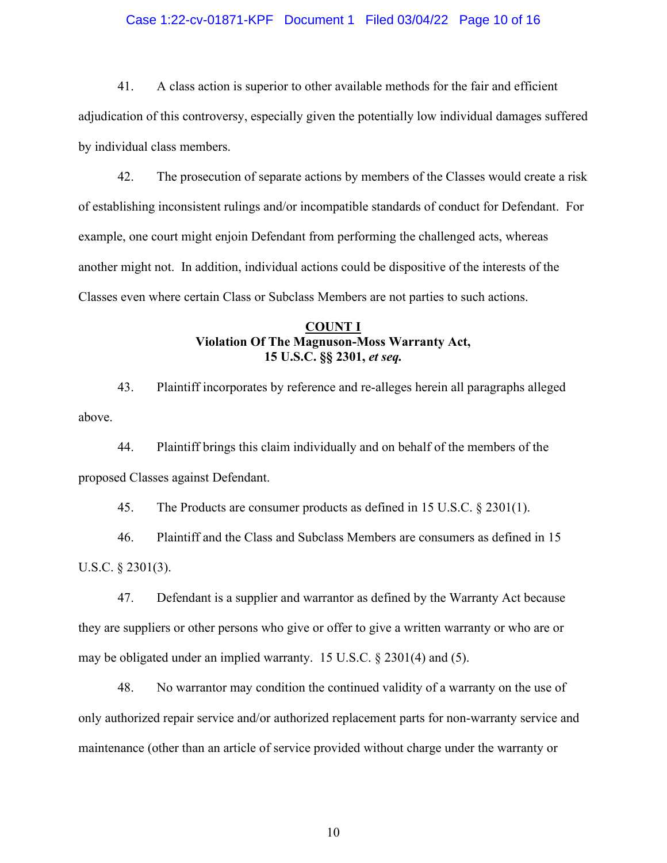### Case 1:22-cv-01871-KPF Document 1 Filed 03/04/22 Page 10 of 16

41. A class action is superior to other available methods for the fair and efficient adjudication of this controversy, especially given the potentially low individual damages suffered by individual class members.

42. The prosecution of separate actions by members of the Classes would create a risk of establishing inconsistent rulings and/or incompatible standards of conduct for Defendant. For example, one court might enjoin Defendant from performing the challenged acts, whereas another might not. In addition, individual actions could be dispositive of the interests of the Classes even where certain Class or Subclass Members are not parties to such actions.

# **COUNT I Violation Of The Magnuson-Moss Warranty Act, 15 U.S.C. §§ 2301,** *et seq.*

43. Plaintiff incorporates by reference and re-alleges herein all paragraphs alleged above.

44. Plaintiff brings this claim individually and on behalf of the members of the proposed Classes against Defendant.

45. The Products are consumer products as defined in 15 U.S.C. § 2301(1).

46. Plaintiff and the Class and Subclass Members are consumers as defined in 15 U.S.C. § 2301(3).

47. Defendant is a supplier and warrantor as defined by the Warranty Act because they are suppliers or other persons who give or offer to give a written warranty or who are or may be obligated under an implied warranty. 15 U.S.C. § 2301(4) and (5).

48. No warrantor may condition the continued validity of a warranty on the use of only authorized repair service and/or authorized replacement parts for non-warranty service and maintenance (other than an article of service provided without charge under the warranty or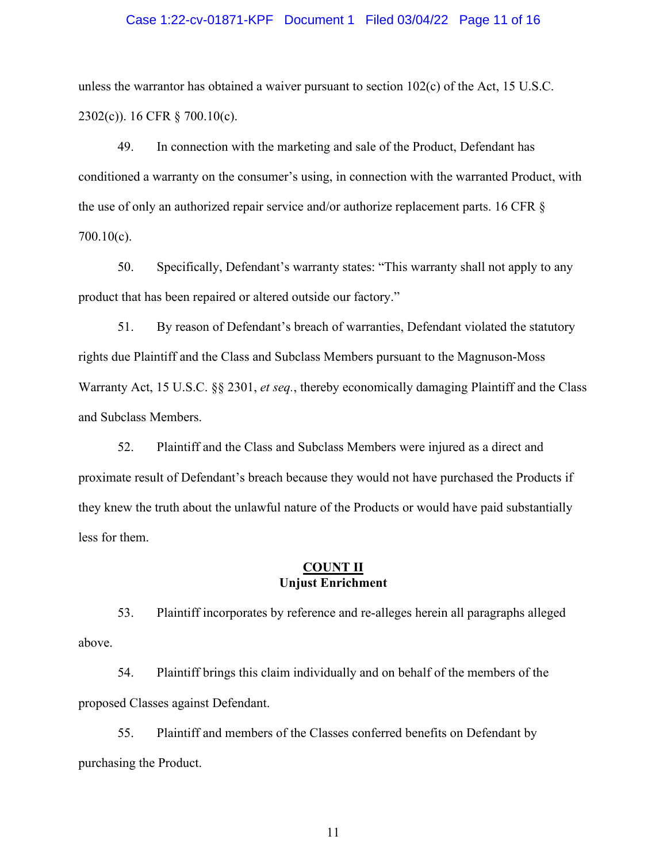# Case 1:22-cv-01871-KPF Document 1 Filed 03/04/22 Page 11 of 16

unless the warrantor has obtained a waiver pursuant to section 102(c) of the Act, 15 U.S.C. 2302(c)). 16 CFR § 700.10(c).

49. In connection with the marketing and sale of the Product, Defendant has conditioned a warranty on the consumer's using, in connection with the warranted Product, with the use of only an authorized repair service and/or authorize replacement parts. 16 CFR § 700.10(c).

50. Specifically, Defendant's warranty states: "This warranty shall not apply to any product that has been repaired or altered outside our factory."

51. By reason of Defendant's breach of warranties, Defendant violated the statutory rights due Plaintiff and the Class and Subclass Members pursuant to the Magnuson-Moss Warranty Act, 15 U.S.C. §§ 2301, *et seq.*, thereby economically damaging Plaintiff and the Class and Subclass Members.

52. Plaintiff and the Class and Subclass Members were injured as a direct and proximate result of Defendant's breach because they would not have purchased the Products if they knew the truth about the unlawful nature of the Products or would have paid substantially less for them.

### **COUNT II Unjust Enrichment**

53. Plaintiff incorporates by reference and re-alleges herein all paragraphs alleged above.

54. Plaintiff brings this claim individually and on behalf of the members of the proposed Classes against Defendant.

55. Plaintiff and members of the Classes conferred benefits on Defendant by purchasing the Product.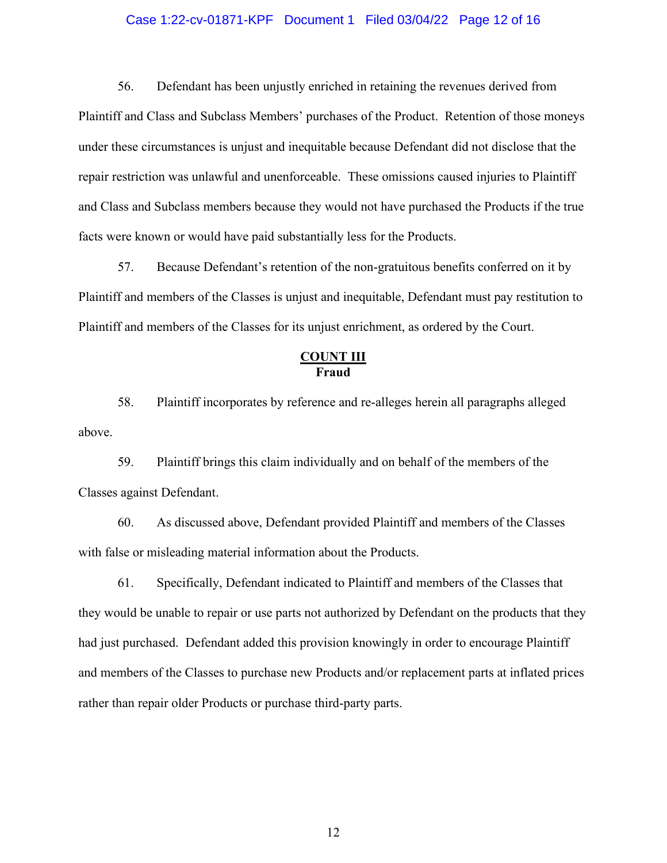### Case 1:22-cv-01871-KPF Document 1 Filed 03/04/22 Page 12 of 16

56. Defendant has been unjustly enriched in retaining the revenues derived from Plaintiff and Class and Subclass Members' purchases of the Product. Retention of those moneys under these circumstances is unjust and inequitable because Defendant did not disclose that the repair restriction was unlawful and unenforceable. These omissions caused injuries to Plaintiff and Class and Subclass members because they would not have purchased the Products if the true facts were known or would have paid substantially less for the Products.

57. Because Defendant's retention of the non-gratuitous benefits conferred on it by Plaintiff and members of the Classes is unjust and inequitable, Defendant must pay restitution to Plaintiff and members of the Classes for its unjust enrichment, as ordered by the Court.

## **COUNT III Fraud**

58. Plaintiff incorporates by reference and re-alleges herein all paragraphs alleged above.

59. Plaintiff brings this claim individually and on behalf of the members of the Classes against Defendant.

60. As discussed above, Defendant provided Plaintiff and members of the Classes with false or misleading material information about the Products.

61. Specifically, Defendant indicated to Plaintiff and members of the Classes that they would be unable to repair or use parts not authorized by Defendant on the products that they had just purchased. Defendant added this provision knowingly in order to encourage Plaintiff and members of the Classes to purchase new Products and/or replacement parts at inflated prices rather than repair older Products or purchase third-party parts.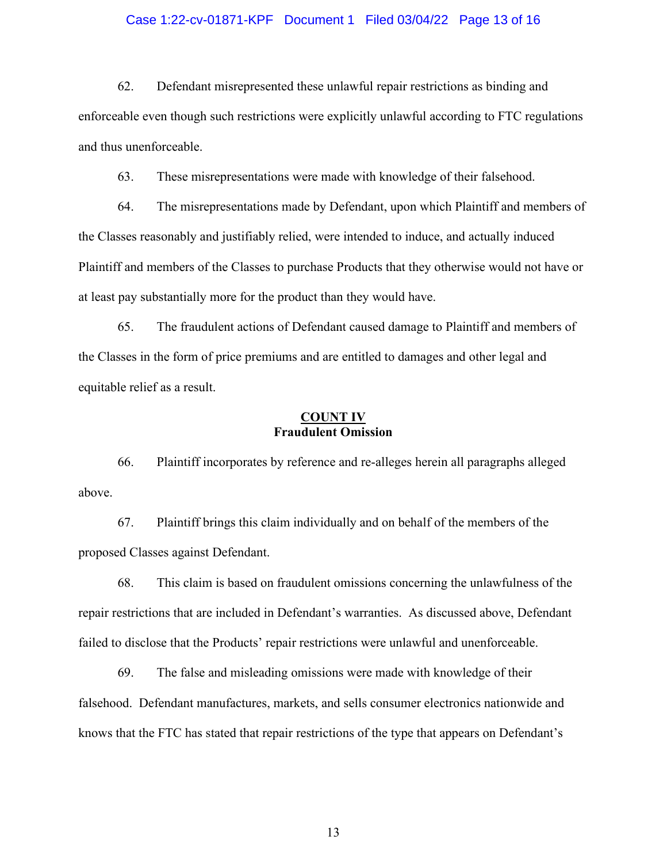# Case 1:22-cv-01871-KPF Document 1 Filed 03/04/22 Page 13 of 16

62. Defendant misrepresented these unlawful repair restrictions as binding and enforceable even though such restrictions were explicitly unlawful according to FTC regulations and thus unenforceable.

63. These misrepresentations were made with knowledge of their falsehood.

64. The misrepresentations made by Defendant, upon which Plaintiff and members of the Classes reasonably and justifiably relied, were intended to induce, and actually induced Plaintiff and members of the Classes to purchase Products that they otherwise would not have or at least pay substantially more for the product than they would have.

65. The fraudulent actions of Defendant caused damage to Plaintiff and members of the Classes in the form of price premiums and are entitled to damages and other legal and equitable relief as a result.

## **COUNT IV Fraudulent Omission**

66. Plaintiff incorporates by reference and re-alleges herein all paragraphs alleged above.

67. Plaintiff brings this claim individually and on behalf of the members of the proposed Classes against Defendant.

68. This claim is based on fraudulent omissions concerning the unlawfulness of the repair restrictions that are included in Defendant's warranties. As discussed above, Defendant failed to disclose that the Products' repair restrictions were unlawful and unenforceable.

69. The false and misleading omissions were made with knowledge of their falsehood. Defendant manufactures, markets, and sells consumer electronics nationwide and knows that the FTC has stated that repair restrictions of the type that appears on Defendant's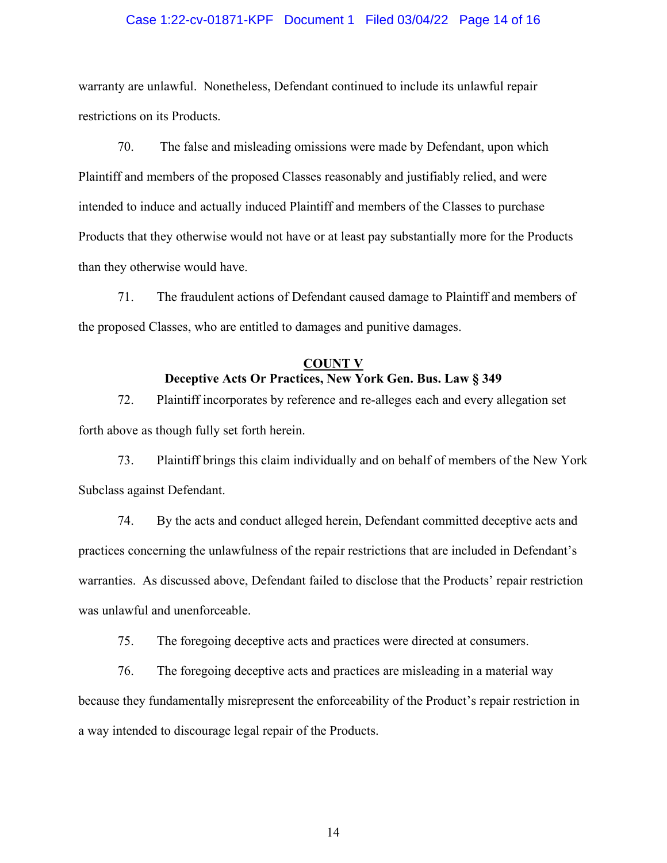### Case 1:22-cv-01871-KPF Document 1 Filed 03/04/22 Page 14 of 16

warranty are unlawful. Nonetheless, Defendant continued to include its unlawful repair restrictions on its Products.

70. The false and misleading omissions were made by Defendant, upon which Plaintiff and members of the proposed Classes reasonably and justifiably relied, and were intended to induce and actually induced Plaintiff and members of the Classes to purchase Products that they otherwise would not have or at least pay substantially more for the Products than they otherwise would have.

71. The fraudulent actions of Defendant caused damage to Plaintiff and members of the proposed Classes, who are entitled to damages and punitive damages.

# **COUNT V Deceptive Acts Or Practices, New York Gen. Bus. Law § 349**

72. Plaintiff incorporates by reference and re-alleges each and every allegation set forth above as though fully set forth herein.

73. Plaintiff brings this claim individually and on behalf of members of the New York Subclass against Defendant.

74. By the acts and conduct alleged herein, Defendant committed deceptive acts and practices concerning the unlawfulness of the repair restrictions that are included in Defendant's warranties. As discussed above, Defendant failed to disclose that the Products' repair restriction was unlawful and unenforceable.

75. The foregoing deceptive acts and practices were directed at consumers.

76. The foregoing deceptive acts and practices are misleading in a material way because they fundamentally misrepresent the enforceability of the Product's repair restriction in a way intended to discourage legal repair of the Products.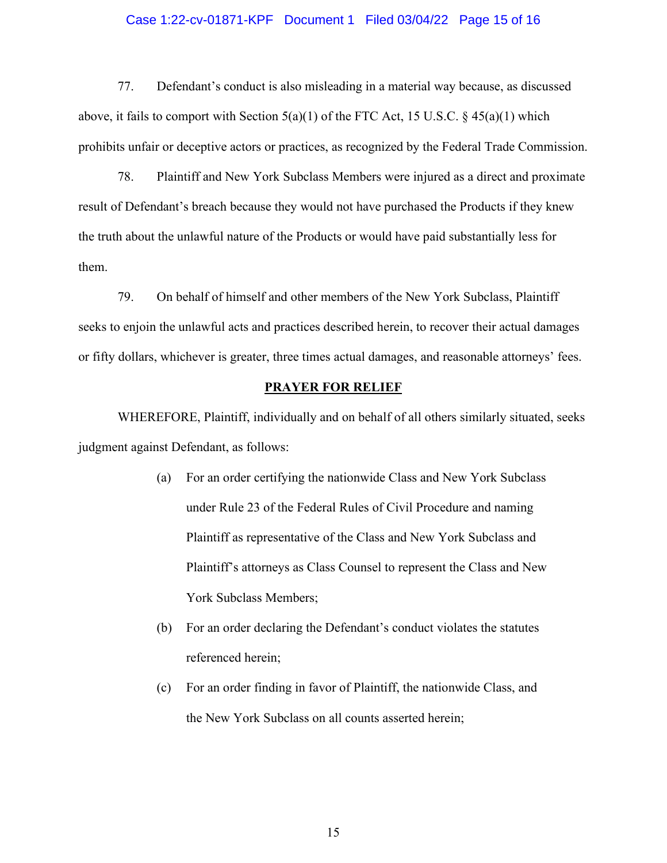# Case 1:22-cv-01871-KPF Document 1 Filed 03/04/22 Page 15 of 16

77. Defendant's conduct is also misleading in a material way because, as discussed above, it fails to comport with Section  $5(a)(1)$  of the FTC Act, 15 U.S.C. § 45(a)(1) which prohibits unfair or deceptive actors or practices, as recognized by the Federal Trade Commission.

78. Plaintiff and New York Subclass Members were injured as a direct and proximate result of Defendant's breach because they would not have purchased the Products if they knew the truth about the unlawful nature of the Products or would have paid substantially less for them.

79. On behalf of himself and other members of the New York Subclass, Plaintiff seeks to enjoin the unlawful acts and practices described herein, to recover their actual damages or fifty dollars, whichever is greater, three times actual damages, and reasonable attorneys' fees.

### **PRAYER FOR RELIEF**

WHEREFORE, Plaintiff, individually and on behalf of all others similarly situated, seeks judgment against Defendant, as follows:

- (a) For an order certifying the nationwide Class and New York Subclass under Rule 23 of the Federal Rules of Civil Procedure and naming Plaintiff as representative of the Class and New York Subclass and Plaintiff's attorneys as Class Counsel to represent the Class and New York Subclass Members;
- (b) For an order declaring the Defendant's conduct violates the statutes referenced herein;
- (c) For an order finding in favor of Plaintiff, the nationwide Class, and the New York Subclass on all counts asserted herein;